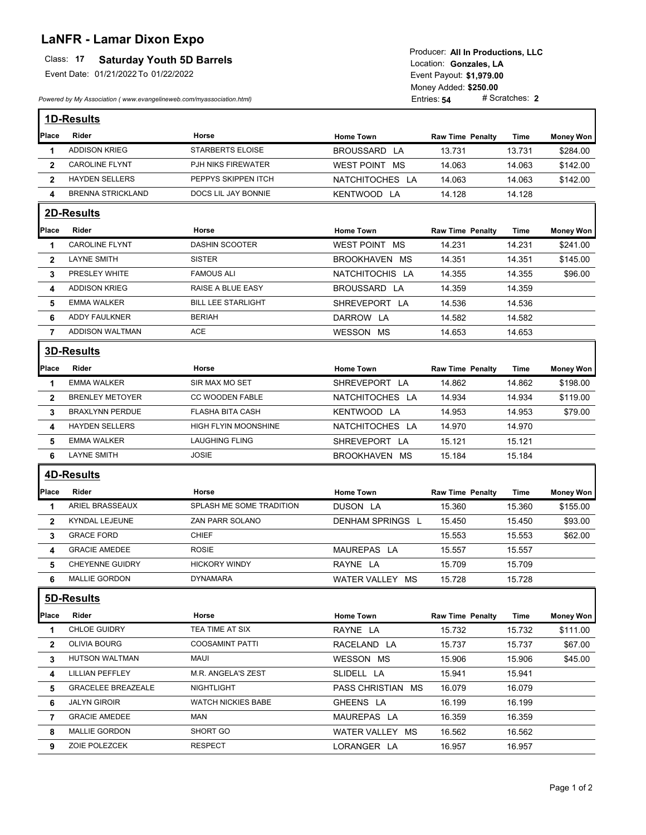## **LaNFR - Lamar Dixon Expo**

## Class: 17 **Saturday Youth 5D Barrels**

Event Date: 01/21/2022 To 01/22/2022

*Powered by My Association ( www.evangelineweb.com/myassociation.html)* 

**\$1,979.00** Event Payout: Entries: **54** Money Added: **\$250.00** Location: Gonzales, LA Producer: **All In Productions, LLC**

|                | 1D-Results                |                           |                   |                         |             |                  |
|----------------|---------------------------|---------------------------|-------------------|-------------------------|-------------|------------------|
| Place          | <b>Rider</b>              | Horse                     | <b>Home Town</b>  | <b>Raw Time Penalty</b> | Time        | <b>Money Won</b> |
| 1              | <b>ADDISON KRIEG</b>      | <b>STARBERTS ELOISE</b>   | BROUSSARD LA      | 13.731                  | 13.731      | \$284.00         |
| $\mathbf{2}$   | <b>CAROLINE FLYNT</b>     | PJH NIKS FIREWATER        | WEST POINT MS     | 14.063                  | 14.063      | \$142.00         |
| $\mathbf{2}$   | <b>HAYDEN SELLERS</b>     | PEPPYS SKIPPEN ITCH       | NATCHITOCHES LA   | 14.063                  | 14.063      | \$142.00         |
| 4              | <b>BRENNA STRICKLAND</b>  | DOCS LIL JAY BONNIE       | KENTWOOD LA       | 14.128                  | 14.128      |                  |
|                | 2D-Results                |                           |                   |                         |             |                  |
| Place          | Rider                     | Horse                     | <b>Home Town</b>  | <b>Raw Time Penalty</b> | Time        | <b>Money Won</b> |
| 1              | <b>CAROLINE FLYNT</b>     | <b>DASHIN SCOOTER</b>     | WEST POINT MS     | 14.231                  | 14.231      | \$241.00         |
| $\mathbf{2}$   | <b>LAYNE SMITH</b>        | <b>SISTER</b>             | BROOKHAVEN MS     | 14.351                  | 14.351      | \$145.00         |
| 3              | PRESLEY WHITE             | <b>FAMOUS ALI</b>         | NATCHITOCHIS LA   | 14.355                  | 14.355      | \$96.00          |
| 4              | <b>ADDISON KRIEG</b>      | RAISE A BLUE EASY         | BROUSSARD LA      | 14.359                  | 14.359      |                  |
| 5              | <b>EMMA WALKER</b>        | <b>BILL LEE STARLIGHT</b> | SHREVEPORT LA     | 14.536                  | 14.536      |                  |
| 6              | <b>ADDY FAULKNER</b>      | <b>BERIAH</b>             | DARROW LA         | 14.582                  | 14.582      |                  |
| $\overline{7}$ | ADDISON WALTMAN           | <b>ACE</b>                | WESSON MS         | 14.653                  | 14.653      |                  |
|                | <b>3D-Results</b>         |                           |                   |                         |             |                  |
| Place          | <b>Rider</b>              | Horse                     | <b>Home Town</b>  | <b>Raw Time Penalty</b> | Time        | <b>Money Won</b> |
| 1              | <b>EMMA WALKER</b>        | SIR MAX MO SET            | SHREVEPORT LA     | 14.862                  | 14.862      | \$198.00         |
| $\mathbf{2}$   | <b>BRENLEY METOYER</b>    | <b>CC WOODEN FABLE</b>    | NATCHITOCHES LA   | 14.934                  | 14.934      | \$119.00         |
| 3              | <b>BRAXLYNN PERDUE</b>    | <b>FLASHA BITA CASH</b>   | KENTWOOD LA       | 14.953                  | 14.953      | \$79.00          |
| 4              | <b>HAYDEN SELLERS</b>     | HIGH FLYIN MOONSHINE      | NATCHITOCHES LA   | 14.970                  | 14.970      |                  |
| 5              | <b>EMMA WALKER</b>        | <b>LAUGHING FLING</b>     | SHREVEPORT LA     | 15.121                  | 15.121      |                  |
| 6              | <b>LAYNE SMITH</b>        | <b>JOSIE</b>              | BROOKHAVEN MS     | 15.184                  | 15.184      |                  |
|                | <b>4D-Results</b>         |                           |                   |                         |             |                  |
| Place          | Rider                     | Horse                     | <b>Home Town</b>  | <b>Raw Time Penalty</b> | Time        | <b>Money Won</b> |
| 1              | ARIEL BRASSEAUX           | SPLASH ME SOME TRADITION  | DUSON LA          | 15.360                  | 15.360      | \$155.00         |
| $\mathbf{2}$   | KYNDAL LEJEUNE            | ZAN PARR SOLANO           | DENHAM SPRINGS L  | 15.450                  | 15.450      | \$93.00          |
| 3              | <b>GRACE FORD</b>         | <b>CHIEF</b>              |                   | 15.553                  | 15.553      | \$62.00          |
| 4              | <b>GRACIE AMEDEE</b>      | <b>ROSIE</b>              | MAUREPAS LA       | 15.557                  | 15.557      |                  |
| 5              | <b>CHEYENNE GUIDRY</b>    | <b>HICKORY WINDY</b>      | RAYNE LA          | 15.709                  | 15.709      |                  |
| 6              | <b>MALLIE GORDON</b>      | <b>DYNAMARA</b>           | WATER VALLEY MS   | 15.728                  | 15.728      |                  |
|                | 5D-Results                |                           |                   |                         |             |                  |
| Place          | Rider                     | Horse                     | <b>Home Town</b>  | <b>Raw Time Penalty</b> | <b>Time</b> | <b>Money Won</b> |
| 1              | CHLOE GUIDRY              | TEA TIME AT SIX           | RAYNE LA          | 15.732                  | 15.732      | \$111.00         |
| $\overline{2}$ | <b>OLIVIA BOURG</b>       | <b>COOSAMINT PATTI</b>    | RACELAND LA       | 15.737                  | 15.737      | \$67.00          |
| 3              | HUTSON WALTMAN            | <b>MAUI</b>               | WESSON MS         | 15.906                  | 15.906      | \$45.00          |
| 4              | LILLIAN PEFFLEY           | M.R. ANGELA'S ZEST        | SLIDELL LA        | 15.941                  | 15.941      |                  |
| 5              | <b>GRACELEE BREAZEALE</b> | NIGHTLIGHT                | PASS CHRISTIAN MS | 16.079                  | 16.079      |                  |
| 6              | <b>JALYN GIROIR</b>       | <b>WATCH NICKIES BABE</b> | GHEENS LA         | 16.199                  | 16.199      |                  |
| 7              | <b>GRACIE AMEDEE</b>      | MAN                       | MAUREPAS LA       | 16.359                  | 16.359      |                  |
| 8              | MALLIE GORDON             | SHORT GO                  | WATER VALLEY MS   | 16.562                  | 16.562      |                  |
| 9              | ZOIE POLEZCEK             | <b>RESPECT</b>            | LORANGER LA       | 16.957                  | 16.957      |                  |